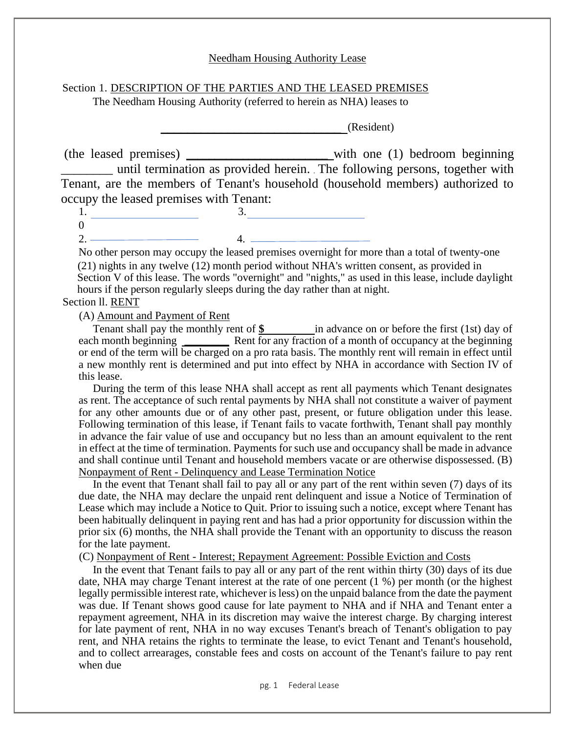#### Needham Housing Authority Lease

# Section 1. DESCRIPTION OF THE PARTIES AND THE LEASED PREMISES

The Needham Housing Authority (referred to herein as NHA) leases to

**\_\_\_\_\_\_\_\_\_\_\_\_\_\_\_\_\_\_\_\_\_\_\_\_\_\_\_** (Resident)

(the leased premises) **\_\_\_\_\_\_\_\_\_\_\_\_\_\_\_\_\_\_\_\_\_\_\_\_\_** with one (1) bedroom beginning \_\_\_\_\_\_\_\_ until termination as provided herein. The following persons, together with Tenant, are the members of Tenant's household (household members) authorized to occupy the leased premises with Tenant:

1. 3.  $\overline{0}$ 

 $2. \ \frac{2}{4.}$ 

No other person may occupy the leased premises overnight for more than a total of twenty-one (21) nights in any twelve (12) month period without NHA's written consent, as provided in Section V of this lease. The words "overnight" and "nights," as used in this lease, include daylight hours if the person regularly sleeps during the day rather than at night.

# Section ll. RENT

(A) Amount and Payment of Rent

Tenant shall pay the monthly rent of  $\frac{\$$  in advance on or before the first (1st) day of each month beginning **\_\_\_\_\_\_\_** Rent for any fraction of a month of occupancy at the beginning or end of the term will be charged on a pro rata basis. The monthly rent will remain in effect until a new monthly rent is determined and put into effect by NHA in accordance with Section IV of this lease.

During the term of this lease NHA shall accept as rent all payments which Tenant designates as rent. The acceptance of such rental payments by NHA shall not constitute a waiver of payment for any other amounts due or of any other past, present, or future obligation under this lease. Following termination of this lease, if Tenant fails to vacate forthwith, Tenant shall pay monthly in advance the fair value of use and occupancy but no less than an amount equivalent to the rent in effect at the time of termination. Payments for such use and occupancy shall be made in advance and shall continue until Tenant and household members vacate or are otherwise dispossessed. (B) Nonpayment of Rent - Delinquency and Lease Termination Notice

In the event that Tenant shall fail to pay all or any part of the rent within seven (7) days of its due date, the NHA may declare the unpaid rent delinquent and issue a Notice of Termination of Lease which may include a Notice to Quit. Prior to issuing such a notice, except where Tenant has been habitually delinquent in paying rent and has had a prior opportunity for discussion within the prior six (6) months, the NHA shall provide the Tenant with an opportunity to discuss the reason for the late payment.

(C) Nonpayment of Rent - Interest; Repayment Agreement: Possible Eviction and Costs

In the event that Tenant fails to pay all or any part of the rent within thirty (30) days of its due date, NHA may charge Tenant interest at the rate of one percent (1 %) per month (or the highest legally permissible interest rate, whichever is less) on the unpaid balance from the date the payment was due. If Tenant shows good cause for late payment to NHA and if NHA and Tenant enter a repayment agreement, NHA in its discretion may waive the interest charge. By charging interest for late payment of rent, NHA in no way excuses Tenant's breach of Tenant's obligation to pay rent, and NHA retains the rights to terminate the lease, to evict Tenant and Tenant's household, and to collect arrearages, constable fees and costs on account of the Tenant's failure to pay rent when due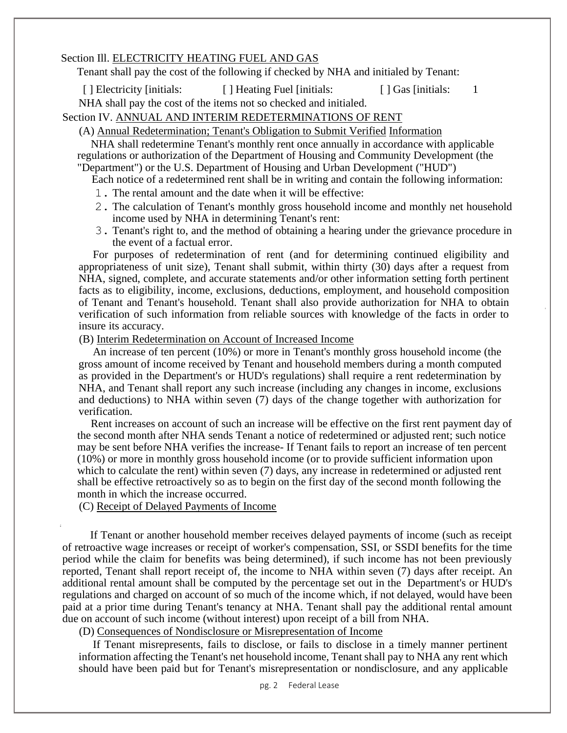## Section Ill. ELECTRICITY HEATING FUEL AND GAS

Tenant shall pay the cost of the following if checked by NHA and initialed by Tenant:

[ ] Electricity [initials: [ ] Heating Fuel [initials: [ ] Gas [initials: 1

NHA shall pay the cost of the items not so checked and initialed.

# Section IV. ANNUAL AND INTERIM REDETERMINATIONS OF RENT

## (A) Annual Redetermination; Tenant's Obligation to Submit Verified Information

NHA shall redetermine Tenant's monthly rent once annually in accordance with applicable regulations or authorization of the Department of Housing and Community Development (the "Department") or the U.S. Department of Housing and Urban Development ("HUD")

Each notice of a redetermined rent shall be in writing and contain the following information:

- 1. The rental amount and the date when it will be effective:
- 2. The calculation of Tenant's monthly gross household income and monthly net household income used by NHA in determining Tenant's rent:
- 3. Tenant's right to, and the method of obtaining a hearing under the grievance procedure in the event of a factual error.

For purposes of redetermination of rent (and for determining continued eligibility and appropriateness of unit size), Tenant shall submit, within thirty (30) days after a request from NHA, signed, complete, and accurate statements and/or other information setting forth pertinent facts as to eligibility, income, exclusions, deductions, employment, and household composition of Tenant and Tenant's household. Tenant shall also provide authorization for NHA to obtain verification of such information from reliable sources with knowledge of the facts in order to insure its accuracy.

(B) Interim Redetermination on Account of Increased Income

An increase of ten percent (10%) or more in Tenant's monthly gross household income (the gross amount of income received by Tenant and household members during a month computed as provided in the Department's or HUD's regulations) shall require a rent redetermination by NHA, and Tenant shall report any such increase (including any changes in income, exclusions and deductions) to NHA within seven (7) days of the change together with authorization for verification.

Rent increases on account of such an increase will be effective on the first rent payment day of the second month after NHA sends Tenant a notice of redetermined or adjusted rent; such notice may be sent before NHA verifies the increase- If Tenant fails to report an increase of ten percent (10%) or more in monthly gross household income (or to provide sufficient information upon which to calculate the rent) within seven (7) days, any increase in redetermined or adjusted rent shall be effective retroactively so as to begin on the first day of the second month following the month in which the increase occurred.

(C) Receipt of Delayed Payments of Income

If Tenant or another household member receives delayed payments of income (such as receipt of retroactive wage increases or receipt of worker's compensation, SSI, or SSDI benefits for the time period while the claim for benefits was being determined), if such income has not been previously reported, Tenant shall report receipt of, the income to NHA within seven (7) days after receipt. An additional rental amount shall be computed by the percentage set out in the Department's or HUD's regulations and charged on account of so much of the income which, if not delayed, would have been paid at a prior time during Tenant's tenancy at NHA. Tenant shall pay the additional rental amount due on account of such income (without interest) upon receipt of a bill from NHA.

(D) Consequences of Nondisclosure or Misrepresentation of Income

If Tenant misrepresents, fails to disclose, or fails to disclose in a timely manner pertinent information affecting the Tenant's net household income, Tenant shall pay to NHA any rent which should have been paid but for Tenant's misrepresentation or nondisclosure, and any applicable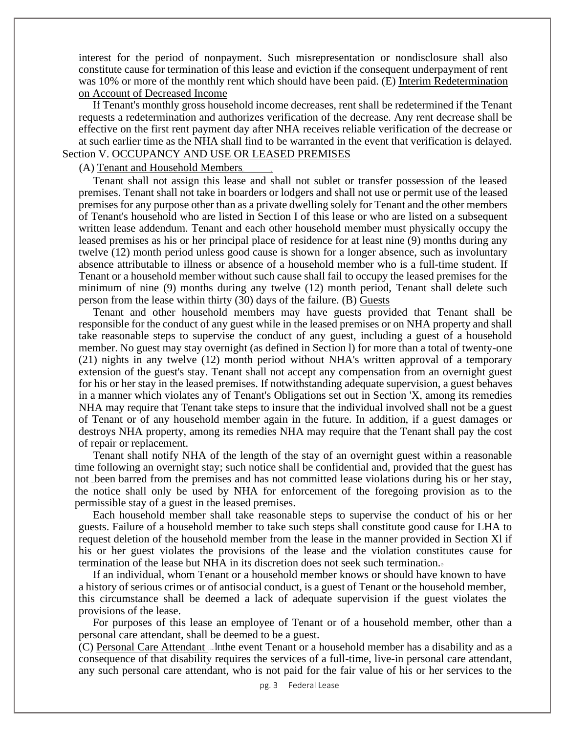interest for the period of nonpayment. Such misrepresentation or nondisclosure shall also constitute cause for termination of this lease and eviction if the consequent underpayment of rent was 10% or more of the monthly rent which should have been paid. (E) Interim Redetermination on Account of Decreased Income

If Tenant's monthly gross household income decreases, rent shall be redetermined if the Tenant requests a redetermination and authorizes verification of the decrease. Any rent decrease shall be effective on the first rent payment day after NHA receives reliable verification of the decrease or at such earlier time as the NHA shall find to be warranted in the event that verification is delayed. Section V. OCCUPANCY AND USE OR LEASED PREMISES

#### (A) Tenant and Household Members

Tenant shall not assign this lease and shall not sublet or transfer possession of the leased premises. Tenant shall not take in boarders or lodgers and shall not use or permit use of the leased premises for any purpose other than as a private dwelling solely for Tenant and the other members of Tenant's household who are listed in Section I of this lease or who are listed on a subsequent written lease addendum. Tenant and each other household member must physically occupy the leased premises as his or her principal place of residence for at least nine (9) months during any twelve (12) month period unless good cause is shown for a longer absence, such as involuntary absence attributable to illness or absence of a household member who is a full-time student. If Tenant or a household member without such cause shall fail to occupy the leased premises for the minimum of nine (9) months during any twelve (12) month period, Tenant shall delete such person from the lease within thirty (30) days of the failure. (B) Guests

Tenant and other household members may have guests provided that Tenant shall be responsible for the conduct of any guest while in the leased premises or on NHA property and shall take reasonable steps to supervise the conduct of any guest, including a guest of a household member. No guest may stay overnight (as defined in Section l) for more than a total of twenty-one (21) nights in any twelve (12) month period without NHA's written approval of a temporary extension of the guest's stay. Tenant shall not accept any compensation from an overnight guest for his or her stay in the leased premises. If notwithstanding adequate supervision, a guest behaves in a manner which violates any of Tenant's Obligations set out in Section 'X, among its remedies NHA may require that Tenant take steps to insure that the individual involved shall not be a guest of Tenant or of any household member again in the future. In addition, if a guest damages or destroys NHA property, among its remedies NHA may require that the Tenant shall pay the cost of repair or replacement.

Tenant shall notify NHA of the length of the stay of an overnight guest within a reasonable time following an overnight stay; such notice shall be confidential and, provided that the guest has not been barred from the premises and has not committed lease violations during his or her stay, the notice shall only be used by NHA for enforcement of the foregoing provision as to the permissible stay of a guest in the leased premises.

Each household member shall take reasonable steps to supervise the conduct of his or her guests. Failure of a household member to take such steps shall constitute good cause for LHA to request deletion of the household member from the lease in the manner provided in Section Xl if his or her guest violates the provisions of the lease and the violation constitutes cause for termination of the lease but NHA in its discretion does not seek such termination.

If an individual, whom Tenant or a household member knows or should have known to have a history of serious crimes or of antisocial conduct, is a guest of Tenant or the household member, this circumstance shall be deemed a lack of adequate supervision if the guest violates the provisions of the lease.

For purposes of this lease an employee of Tenant or of a household member, other than a personal care attendant, shall be deemed to be a guest.

(C) Personal Care Attendant In the event Tenant or a household member has a disability and as a consequence of that disability requires the services of a full-time, live-in personal care attendant, any such personal care attendant, who is not paid for the fair value of his or her services to the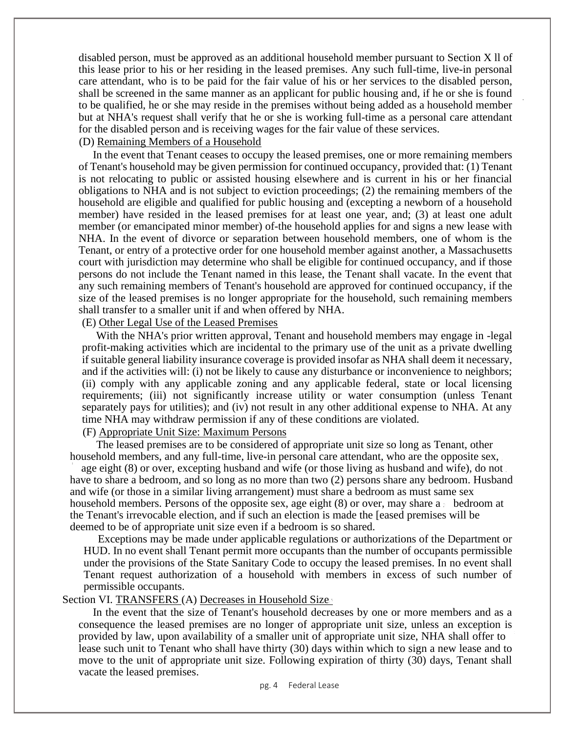disabled person, must be approved as an additional household member pursuant to Section X ll of this lease prior to his or her residing in the leased premises. Any such full-time, live-in personal care attendant, who is to be paid for the fair value of his or her services to the disabled person, shall be screened in the same manner as an applicant for public housing and, if he or she is found to be qualified, he or she may reside in the premises without being added as a household member but at NHA's request shall verify that he or she is working full-time as a personal care attendant for the disabled person and is receiving wages for the fair value of these services.

## (D) Remaining Members of a Household

In the event that Tenant ceases to occupy the leased premises, one or more remaining members of Tenant's household may be given permission for continued occupancy, provided that: (1) Tenant is not relocating to public or assisted housing elsewhere and is current in his or her financial obligations to NHA and is not subject to eviction proceedings; (2) the remaining members of the household are eligible and qualified for public housing and (excepting a newborn of a household member) have resided in the leased premises for at least one year, and; (3) at least one adult member (or emancipated minor member) of-the household applies for and signs a new lease with NHA. In the event of divorce or separation between household members, one of whom is the Tenant, or entry of a protective order for one household member against another, a Massachusetts court with jurisdiction may determine who shall be eligible for continued occupancy, and if those persons do not include the Tenant named in this lease, the Tenant shall vacate. In the event that any such remaining members of Tenant's household are approved for continued occupancy, if the size of the leased premises is no longer appropriate for the household, such remaining members shall transfer to a smaller unit if and when offered by NHA.

(E) Other Legal Use of the Leased Premises

With the NHA's prior written approval, Tenant and household members may engage in -legal profit-making activities which are incidental to the primary use of the unit as a private dwelling if suitable general liability insurance coverage is provided insofar as NHA shall deem it necessary, and if the activities will: (i) not be likely to cause any disturbance or inconvenience to neighbors; (ii) comply with any applicable zoning and any applicable federal, state or local licensing requirements; (iii) not significantly increase utility or water consumption (unless Tenant separately pays for utilities); and (iv) not result in any other additional expense to NHA. At any time NHA may withdraw permission if any of these conditions are violated.

### (F) Appropriate Unit Size: Maximum Persons

The leased premises are to be considered of appropriate unit size so long as Tenant, other household members, and any full-time, live-in personal care attendant, who are the opposite sex,

age eight (8) or over, excepting husband and wife (or those living as husband and wife), do not have to share a bedroom, and so long as no more than two (2) persons share any bedroom. Husband and wife (or those in a similar living arrangement) must share a bedroom as must same sex household members. Persons of the opposite sex, age eight  $(8)$  or over, may share a bedroom at the Tenant's irrevocable election, and if such an election is made the [eased premises will be deemed to be of appropriate unit size even if a bedroom is so shared.

Exceptions may be made under applicable regulations or authorizations of the Department or HUD. In no event shall Tenant permit more occupants than the number of occupants permissible under the provisions of the State Sanitary Code to occupy the leased premises. In no event shall Tenant request authorization of a household with members in excess of such number of permissible occupants.

#### Section VI. TRANSFERS (A) Decreases in Household Size

In the event that the size of Tenant's household decreases by one or more members and as a consequence the leased premises are no longer of appropriate unit size, unless an exception is provided by law, upon availability of a smaller unit of appropriate unit size, NHA shall offer to lease such unit to Tenant who shall have thirty (30) days within which to sign a new lease and to move to the unit of appropriate unit size. Following expiration of thirty (30) days, Tenant shall vacate the leased premises.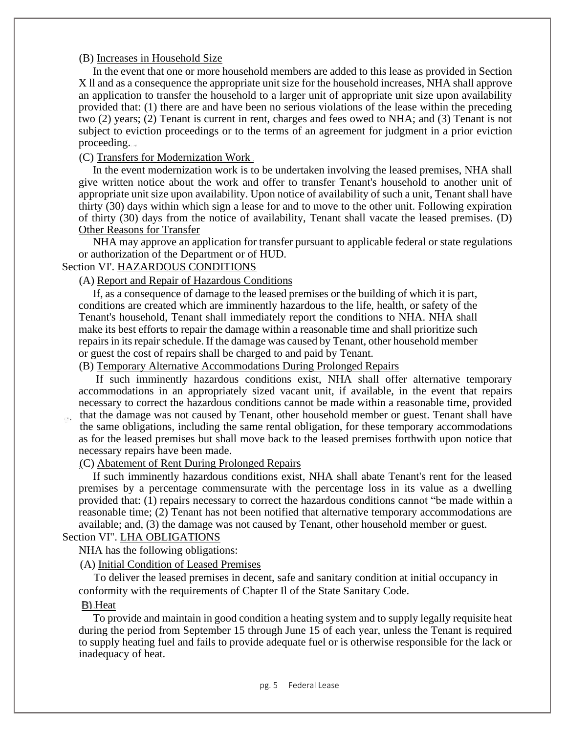## (B) Increases in Household Size

In the event that one or more household members are added to this lease as provided in Section X ll and as a consequence the appropriate unit size for the household increases, NHA shall approve an application to transfer the household to a larger unit of appropriate unit size upon availability provided that: (1) there are and have been no serious violations of the lease within the preceding two (2) years; (2) Tenant is current in rent, charges and fees owed to NHA; and (3) Tenant is not subject to eviction proceedings or to the terms of an agreement for judgment in a prior eviction proceeding.

(C) Transfers for Modernization Work

In the event modernization work is to be undertaken involving the leased premises, NHA shall give written notice about the work and offer to transfer Tenant's household to another unit of appropriate unit size upon availability. Upon notice of availability of such a unit, Tenant shall have thirty (30) days within which sign a lease for and to move to the other unit. Following expiration of thirty (30) days from the notice of availability, Tenant shall vacate the leased premises. (D) Other Reasons for Transfer

NHA may approve an application for transfer pursuant to applicable federal or state regulations or authorization of the Department or of HUD.

#### Section VI'. HAZARDOUS CONDITIONS

## (A) Report and Repair of Hazardous Conditions

If, as a consequence of damage to the leased premises or the building of which it is part, conditions are created which are imminently hazardous to the life, health, or safety of the Tenant's household, Tenant shall immediately report the conditions to NHA. NHA shall make its best efforts to repair the damage within a reasonable time and shall prioritize such repairs in its repair schedule. If the damage was caused by Tenant, other household member or guest the cost of repairs shall be charged to and paid by Tenant.

## (B) Temporary Alternative Accommodations During Prolonged Repairs

If such imminently hazardous conditions exist, NHA shall offer alternative temporary accommodations in an appropriately sized vacant unit, if available, in the event that repairs necessary to correct the hazardous conditions cannot be made within a reasonable time, provided that the damage was not caused by Tenant, other household member or guest. Tenant shall have the same obligations, including the same rental obligation, for these temporary accommodations as for the leased premises but shall move back to the leased premises forthwith upon notice that necessary repairs have been made.

# (C) Abatement of Rent During Prolonged Repairs

If such imminently hazardous conditions exist, NHA shall abate Tenant's rent for the leased premises by a percentage commensurate with the percentage loss in its value as a dwelling provided that: (1) repairs necessary to correct the hazardous conditions cannot "be made within a reasonable time; (2) Tenant has not been notified that alternative temporary accommodations are available; and, (3) the damage was not caused by Tenant, other household member or guest.

## Section VI". LHA OBLIGATIONS

NHA has the following obligations:

(A) Initial Condition of Leased Premises

To deliver the leased premises in decent, safe and sanitary condition at initial occupancy in conformity with the requirements of Chapter Il of the State Sanitary Code.

#### **B**) Heat

To provide and maintain in good condition a heating system and to supply legally requisite heat during the period from September 15 through June 15 of each year, unless the Tenant is required to supply heating fuel and fails to provide adequate fuel or is otherwise responsible for the lack or inadequacy of heat.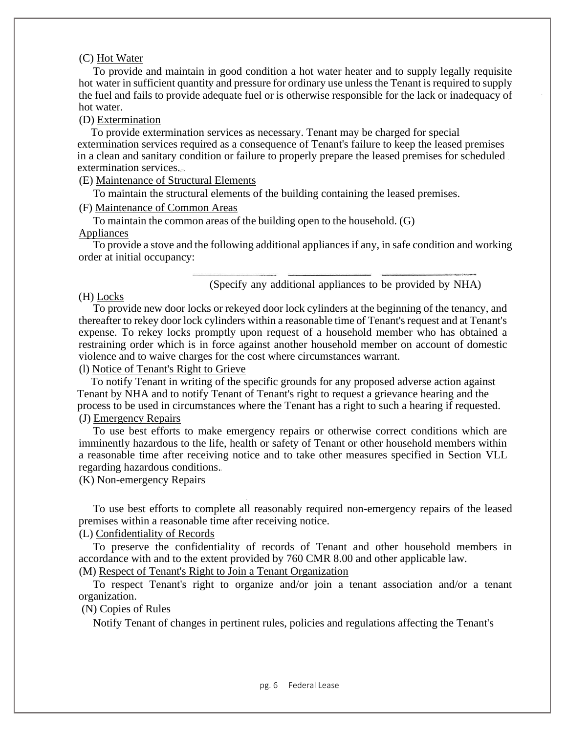#### (C) Hot Water

To provide and maintain in good condition a hot water heater and to supply legally requisite hot water in sufficient quantity and pressure for ordinary use unless the Tenant is required to supply the fuel and fails to provide adequate fuel or is otherwise responsible for the lack or inadequacy of hot water.

#### (D) Extermination

To provide extermination services as necessary. Tenant may be charged for special extermination services required as a consequence of Tenant's failure to keep the leased premises in a clean and sanitary condition or failure to properly prepare the leased premises for scheduled extermination services.

## (E) Maintenance of Structural Elements

To maintain the structural elements of the building containing the leased premises.

#### (F) Maintenance of Common Areas

To maintain the common areas of the building open to the household. (G) Appliances

### To provide a stove and the following additional appliances if any, in safe condition and working order at initial occupancy:

#### (Specify any additional appliances to be provided by NHA)

#### (H) Locks

To provide new door locks or rekeyed door lock cylinders at the beginning of the tenancy, and thereafter to rekey door lock cylinders within a reasonable time of Tenant's request and at Tenant's expense. To rekey locks promptly upon request of a household member who has obtained a restraining order which is in force against another household member on account of domestic violence and to waive charges for the cost where circumstances warrant.

## (l) Notice of Tenant's Right to Grieve

To notify Tenant in writing of the specific grounds for any proposed adverse action against Tenant by NHA and to notify Tenant of Tenant's right to request a grievance hearing and the process to be used in circumstances where the Tenant has a right to such a hearing if requested.

#### (J) Emergency Repairs

To use best efforts to make emergency repairs or otherwise correct conditions which are imminently hazardous to the life, health or safety of Tenant or other household members within a reasonable time after receiving notice and to take other measures specified in Section VLL regarding hazardous conditions.

(K) Non-emergency Repairs

To use best efforts to complete all reasonably required non-emergency repairs of the leased premises within a reasonable time after receiving notice.

## (L) Confidentiality of Records

To preserve the confidentiality of records of Tenant and other household members in accordance with and to the extent provided by 760 CMR 8.00 and other applicable law.

## (M) Respect of Tenant's Right to Join a Tenant Organization

To respect Tenant's right to organize and/or join a tenant association and/or a tenant organization.

#### (N) Copies of Rules

Notify Tenant of changes in pertinent rules, policies and regulations affecting the Tenant's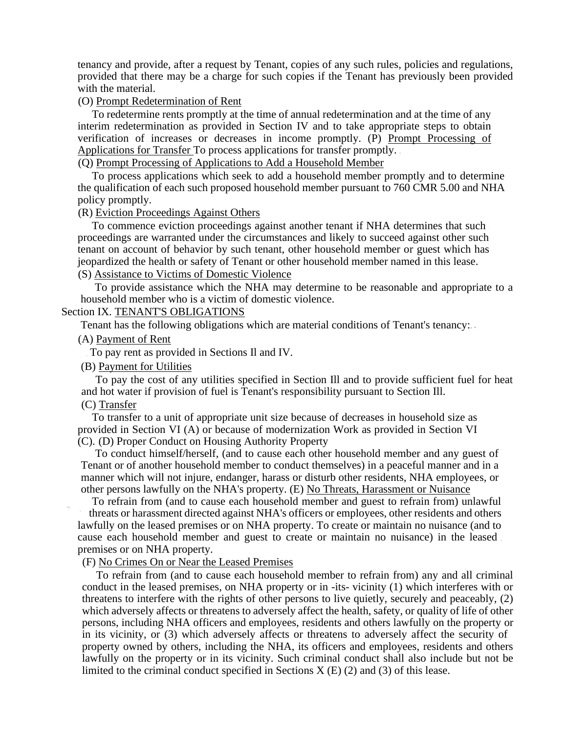tenancy and provide, after a request by Tenant, copies of any such rules, policies and regulations, provided that there may be a charge for such copies if the Tenant has previously been provided with the material.

### (O) Prompt Redetermination of Rent

To redetermine rents promptly at the time of annual redetermination and at the time of any interim redetermination as provided in Section IV and to take appropriate steps to obtain verification of increases or decreases in income promptly. (P) Prompt Processing of Applications for Transfer To process applications for transfer promptly.

(Q) Prompt Processing of Applications to Add a Household Member

To process applications which seek to add a household member promptly and to determine the qualification of each such proposed household member pursuant to 760 CMR 5.00 and NHA policy promptly.

#### (R) Eviction Proceedings Against Others

To commence eviction proceedings against another tenant if NHA determines that such proceedings are warranted under the circumstances and likely to succeed against other such tenant on account of behavior by such tenant, other household member or guest which has jeopardized the health or safety of Tenant or other household member named in this lease.

# (S) Assistance to Victims of Domestic Violence

To provide assistance which the NHA may determine to be reasonable and appropriate to a household member who is a victim of domestic violence.

#### Section IX. TENANT'S OBLIGATIONS

Tenant has the following obligations which are material conditions of Tenant's tenancy:

#### (A) Payment of Rent

To pay rent as provided in Sections Il and IV.

## (B) Payment for Utilities

To pay the cost of any utilities specified in Section Ill and to provide sufficient fuel for heat and hot water if provision of fuel is Tenant's responsibility pursuant to Section Ill. (C) Transfer

To transfer to a unit of appropriate unit size because of decreases in household size as provided in Section VI (A) or because of modernization Work as provided in Section VI (C). (D) Proper Conduct on Housing Authority Property

To conduct himself/herself, (and to cause each other household member and any guest of Tenant or of another household member to conduct themselves) in a peaceful manner and in a manner which will not injure, endanger, harass or disturb other residents, NHA employees, or other persons lawfully on the NHA's property. (E) No Threats, Harassment or Nuisance

To refrain from (and to cause each household member and guest to refrain from) unlawful threats or harassment directed against NHA's officers or employees, other residents and others lawfully on the leased premises or on NHA property. To create or maintain no nuisance (and to cause each household member and guest to create or maintain no nuisance) in the leased premises or on NHA property.

## (F) No Crimes On or Near the Leased Premises

To refrain from (and to cause each household member to refrain from) any and all criminal conduct in the leased premises, on NHA property or in -its- vicinity (1) which interferes with or threatens to interfere with the rights of other persons to live quietly, securely and peaceably, (2) which adversely affects or threatens to adversely affect the health, safety, or quality of life of other persons, including NHA officers and employees, residents and others lawfully on the property or in its vicinity, or (3) which adversely affects or threatens to adversely affect the security of property owned by others, including the NHA, its officers and employees, residents and others lawfully on the property or in its vicinity. Such criminal conduct shall also include but not be limited to the criminal conduct specified in Sections  $X(E)(2)$  and (3) of this lease.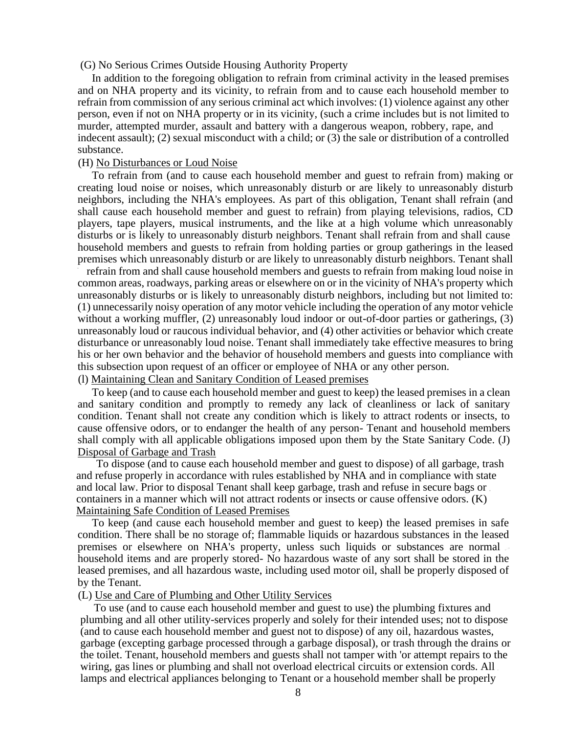#### (G) No Serious Crimes Outside Housing Authority Property

In addition to the foregoing obligation to refrain from criminal activity in the leased premises and on NHA property and its vicinity, to refrain from and to cause each household member to refrain from commission of any serious criminal act which involves: (1) violence against any other person, even if not on NHA property or in its vicinity, (such a crime includes but is not limited to murder, attempted murder, assault and battery with a dangerous weapon, robbery, rape, and indecent assault); (2) sexual misconduct with a child; or (3) the sale or distribution of a controlled substance.

#### (H) No Disturbances or Loud Noise

To refrain from (and to cause each household member and guest to refrain from) making or creating loud noise or noises, which unreasonably disturb or are likely to unreasonably disturb neighbors, including the NHA's employees. As part of this obligation, Tenant shall refrain (and shall cause each household member and guest to refrain) from playing televisions, radios, CD players, tape players, musical instruments, and the like at a high volume which unreasonably disturbs or is likely to unreasonably disturb neighbors. Tenant shall refrain from and shall cause household members and guests to refrain from holding parties or group gatherings in the leased premises which unreasonably disturb or are likely to unreasonably disturb neighbors. Tenant shall

refrain from and shall cause household members and guests to refrain from making loud noise in common areas, roadways, parking areas or elsewhere on or in the vicinity of NHA's property which unreasonably disturbs or is likely to unreasonably disturb neighbors, including but not limited to: (1) unnecessarily noisy operation of any motor vehicle including the operation of any motor vehicle without a working muffler, (2) unreasonably loud indoor or out-of-door parties or gatherings, (3) unreasonably loud or raucous individual behavior, and (4) other activities or behavior which create disturbance or unreasonably loud noise. Tenant shall immediately take effective measures to bring his or her own behavior and the behavior of household members and guests into compliance with this subsection upon request of an officer or employee of NHA or any other person.

# (l) Maintaining Clean and Sanitary Condition of Leased premises

To keep (and to cause each household member and guest to keep) the leased premises in a clean and sanitary condition and promptly to remedy any lack of cleanliness or lack of sanitary condition. Tenant shall not create any condition which is likely to attract rodents or insects, to cause offensive odors, or to endanger the health of any person- Tenant and household members shall comply with all applicable obligations imposed upon them by the State Sanitary Code. (J) Disposal of Garbage and Trash

To dispose (and to cause each household member and guest to dispose) of all garbage, trash and refuse properly in accordance with rules established by NHA and in compliance with state and local law. Prior to disposal Tenant shall keep garbage, trash and refuse in secure bags or containers in a manner which will not attract rodents or insects or cause offensive odors. (K) Maintaining Safe Condition of Leased Premises

To keep (and cause each household member and guest to keep) the leased premises in safe condition. There shall be no storage of; flammable liquids or hazardous substances in the leased premises or elsewhere on NHA's property, unless such liquids or substances are normal household items and are properly stored- No hazardous waste of any sort shall be stored in the leased premises, and all hazardous waste, including used motor oil, shall be properly disposed of by the Tenant.

#### (L) Use and Care of Plumbing and Other Utility Services

To use (and to cause each household member and guest to use) the plumbing fixtures and plumbing and all other utility-services properly and solely for their intended uses; not to dispose (and to cause each household member and guest not to dispose) of any oil, hazardous wastes, garbage (excepting garbage processed through a garbage disposal), or trash through the drains or the toilet. Tenant, household members and guests shall not tamper with 'or attempt repairs to the wiring, gas lines or plumbing and shall not overload electrical circuits or extension cords. All lamps and electrical appliances belonging to Tenant or a household member shall be properly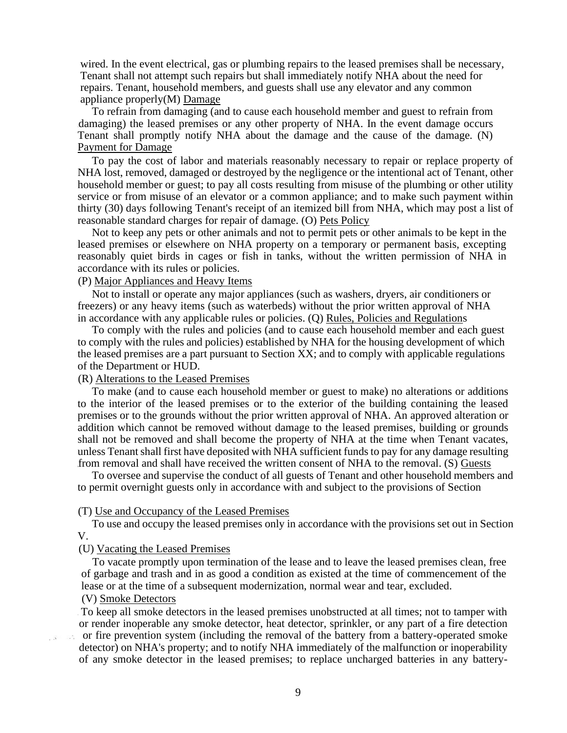wired. In the event electrical, gas or plumbing repairs to the leased premises shall be necessary, Tenant shall not attempt such repairs but shall immediately notify NHA about the need for repairs. Tenant, household members, and guests shall use any elevator and any common appliance properly(M) Damage

To refrain from damaging (and to cause each household member and guest to refrain from damaging) the leased premises or any other property of NHA. In the event damage occurs Tenant shall promptly notify NHA about the damage and the cause of the damage. (N) Payment for Damage

To pay the cost of labor and materials reasonably necessary to repair or replace property of NHA lost, removed, damaged or destroyed by the negligence or the intentional act of Tenant, other household member or guest; to pay all costs resulting from misuse of the plumbing or other utility service or from misuse of an elevator or a common appliance; and to make such payment within thirty (30) days following Tenant's receipt of an itemized bill from NHA, which may post a list of reasonable standard charges for repair of damage. (O) Pets Policy

Not to keep any pets or other animals and not to permit pets or other animals to be kept in the leased premises or elsewhere on NHA property on a temporary or permanent basis, excepting reasonably quiet birds in cages or fish in tanks, without the written permission of NHA in accordance with its rules or policies.

### (P) Major Appliances and Heavy Items

Not to install or operate any major appliances (such as washers, dryers, air conditioners or freezers) or any heavy items (such as waterbeds) without the prior written approval of NHA in accordance with any applicable rules or policies. (Q) Rules, Policies and Regulations

To comply with the rules and policies (and to cause each household member and each guest to comply with the rules and policies) established by NHA for the housing development of which the leased premises are a part pursuant to Section XX; and to comply with applicable regulations of the Department or HUD.

#### (R) Alterations to the Leased Premises

To make (and to cause each household member or guest to make) no alterations or additions to the interior of the leased premises or to the exterior of the building containing the leased premises or to the grounds without the prior written approval of NHA. An approved alteration or addition which cannot be removed without damage to the leased premises, building or grounds shall not be removed and shall become the property of NHA at the time when Tenant vacates, unless Tenant shall first have deposited with NHA sufficient funds to pay for any damage resulting from removal and shall have received the written consent of NHA to the removal. (S) Guests

To oversee and supervise the conduct of all guests of Tenant and other household members and to permit overnight guests only in accordance with and subject to the provisions of Section

#### (T) Use and Occupancy of the Leased Premises

To use and occupy the leased premises only in accordance with the provisions set out in Section V.

## (U) Vacating the Leased Premises

To vacate promptly upon termination of the lease and to leave the leased premises clean, free of garbage and trash and in as good a condition as existed at the time of commencement of the lease or at the time of a subsequent modernization, normal wear and tear, excluded.

## (V) Smoke Detectors

To keep all smoke detectors in the leased premises unobstructed at all times; not to tamper with or render inoperable any smoke detector, heat detector, sprinkler, or any part of a fire detection

or fire prevention system (including the removal of the battery from a battery-operated smoke detector) on NHA's property; and to notify NHA immediately of the malfunction or inoperability of any smoke detector in the leased premises; to replace uncharged batteries in any battery-

9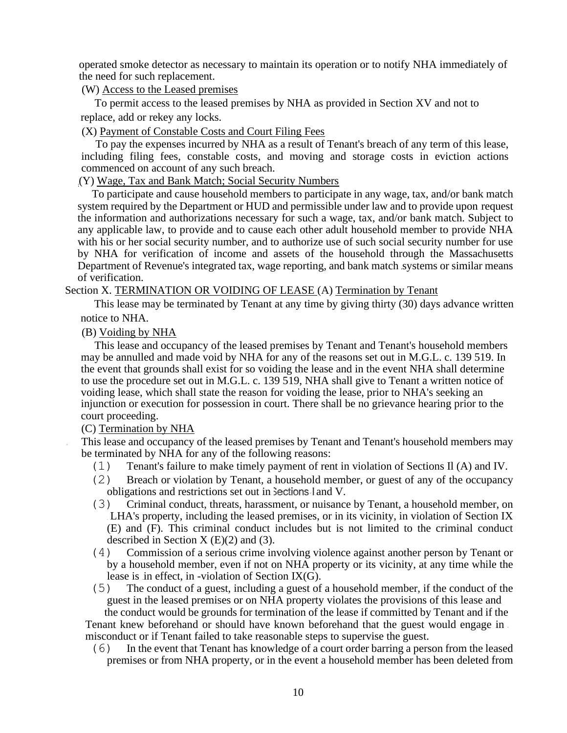operated smoke detector as necessary to maintain its operation or to notify NHA immediately of the need for such replacement.

(W) Access to the Leased premises

To permit access to the leased premises by NHA as provided in Section XV and not to replace, add or rekey any locks.

(X) Payment of Constable Costs and Court Filing Fees

To pay the expenses incurred by NHA as a result of Tenant's breach of any term of this lease, including filing fees, constable costs, and moving and storage costs in eviction actions commenced on account of any such breach.

(Y) Wage, Tax and Bank Match; Social Security Numbers

To participate and cause household members to participate in any wage, tax, and/or bank match system required by the Department or HUD and permissible under law and to provide upon request the information and authorizations necessary for such a wage, tax, and/or bank match. Subject to any applicable law, to provide and to cause each other adult household member to provide NHA with his or her social security number, and to authorize use of such social security number for use by NHA for verification of income and assets of the household through the Massachusetts Department of Revenue's integrated tax, wage reporting, and bank match systems or similar means of verification.

## Section X. TERMINATION OR VOIDING OF LEASE (A) Termination by Tenant

This lease may be terminated by Tenant at any time by giving thirty (30) days advance written notice to NHA.

## (B) Voiding by NHA

This lease and occupancy of the leased premises by Tenant and Tenant's household members may be annulled and made void by NHA for any of the reasons set out in M.G.L. c. 139 519. In the event that grounds shall exist for so voiding the lease and in the event NHA shall determine to use the procedure set out in M.G.L. c. 139 519, NHA shall give to Tenant a written notice of voiding lease, which shall state the reason for voiding the lease, prior to NHA's seeking an injunction or execution for possession in court. There shall be no grievance hearing prior to the court proceeding.

## (C) Termination by NHA

This lease and occupancy of the leased premises by Tenant and Tenant's household members may be terminated by NHA for any of the following reasons:

- (1) Tenant's failure to make timely payment of rent in violation of Sections Il (A) and IV.
- (2) Breach or violation by Tenant, a household member, or guest of any of the occupancy obligations and restrictions set out in Sections I and V.
- (3) Criminal conduct, threats, harassment, or nuisance by Tenant, a household member, on LHA's property, including the leased premises, or in its vicinity, in violation of Section IX (E) and (F). This criminal conduct includes but is not limited to the criminal conduct described in Section  $X(E)(2)$  and (3).
- (4) Commission of a serious crime involving violence against another person by Tenant or by a household member, even if not on NHA property or its vicinity, at any time while the lease is in effect, in -violation of Section IX(G).
- (5) The conduct of a guest, including a guest of a household member, if the conduct of the guest in the leased premises or on NHA property violates the provisions of this lease and

the conduct would be grounds for termination of the lease if committed by Tenant and if the Tenant knew beforehand or should have known beforehand that the guest would engage in misconduct or if Tenant failed to take reasonable steps to supervise the guest.

(6) In the event that Tenant has knowledge of a court order barring a person from the leased premises or from NHA property, or in the event a household member has been deleted from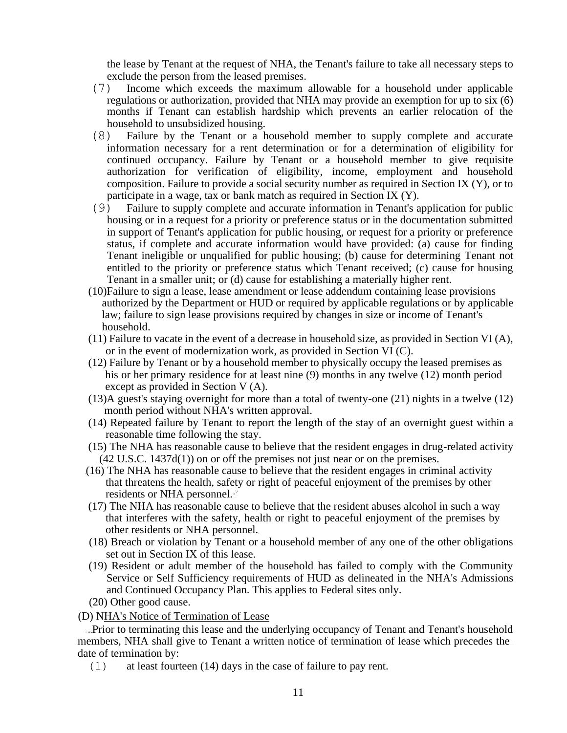the lease by Tenant at the request of NHA, the Tenant's failure to take all necessary steps to exclude the person from the leased premises.

- (7) Income which exceeds the maximum allowable for a household under applicable regulations or authorization, provided that NHA may provide an exemption for up to six (6) months if Tenant can establish hardship which prevents an earlier relocation of the household to unsubsidized housing.
- (8) Failure by the Tenant or a household member to supply complete and accurate information necessary for a rent determination or for a determination of eligibility for continued occupancy. Failure by Tenant or a household member to give requisite authorization for verification of eligibility, income, employment and household composition. Failure to provide a social security number as required in Section IX (Y), or to participate in a wage, tax or bank match as required in Section IX (Y).
- (9) Failure to supply complete and accurate information in Tenant's application for public housing or in a request for a priority or preference status or in the documentation submitted in support of Tenant's application for public housing, or request for a priority or preference status, if complete and accurate information would have provided: (a) cause for finding Tenant ineligible or unqualified for public housing; (b) cause for determining Tenant not entitled to the priority or preference status which Tenant received; (c) cause for housing Tenant in a smaller unit; or (d) cause for establishing a materially higher rent.
- (10)Failure to sign a lease, lease amendment or lease addendum containing lease provisions authorized by the Department or HUD or required by applicable regulations or by applicable law; failure to sign lease provisions required by changes in size or income of Tenant's. household.
- $(11)$  Failure to vacate in the event of a decrease in household size, as provided in Section VI (A), or in the event of modernization work, as provided in Section VI (C).
- (12) Failure by Tenant or by a household member to physically occupy the leased premises as his or her primary residence for at least nine (9) months in any twelve (12) month period except as provided in Section V (A).
- (13)A guest's staying overnight for more than a total of twenty-one (21) nights in a twelve (12) month period without NHA's written approval.
- (14) Repeated failure by Tenant to report the length of the stay of an overnight guest within a reasonable time following the stay.
- (15) The NHA has reasonable cause to believe that the resident engages in drug-related activity (42 U.S.C. 1437d(1)) on or off the premises not just near or on the premises.
- (16) The NHA has reasonable cause to believe that the resident engages in criminal activity that threatens the health, safety or right of peaceful enjoyment of the premises by other residents or NHA personnel.
- (17) The NHA has reasonable cause to believe that the resident abuses alcohol in such a way that interferes with the safety, health or right to peaceful enjoyment of the premises by other residents or NHA personnel.
- (18) Breach or violation by Tenant or a household member of any one of the other obligations set out in Section IX of this lease.
- (19) Resident or adult member of the household has failed to comply with the Community Service or Self Sufficiency requirements of HUD as delineated in the NHA's Admissions and Continued Occupancy Plan. This applies to Federal sites only.
- (20) Other good cause.
- (D) NHA's Notice of Termination of Lease

Prior to terminating this lease and the underlying occupancy of Tenant and Tenant's household members, NHA shall give to Tenant a written notice of termination of lease which precedes the date of termination by:

(1) at least fourteen (14) days in the case of failure to pay rent.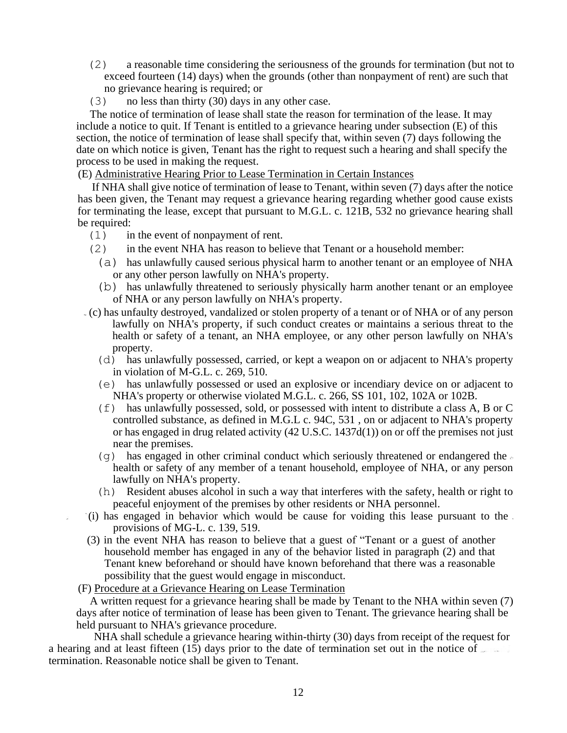- (2) a reasonable time considering the seriousness of the grounds for termination (but not to exceed fourteen (14) days) when the grounds (other than nonpayment of rent) are such that no grievance hearing is required; or
- (3) no less than thirty (30) days in any other case.

The notice of termination of lease shall state the reason for termination of the lease. It may include a notice to quit. If Tenant is entitled to a grievance hearing under subsection (E) of this section, the notice of termination of lease shall specify that, within seven (7) days following the date on which notice is given, Tenant has the right to request such a hearing and shall specify the process to be used in making the request.

## (E) Administrative Hearing Prior to Lease Termination in Certain Instances

If NHA shall give notice of termination of lease to Tenant, within seven (7) days after the notice has been given, the Tenant may request a grievance hearing regarding whether good cause exists for terminating the lease, except that pursuant to M.G.L. c. 121B, 532 no grievance hearing shall be required:

- (1) in the event of nonpayment of rent.
- (2) in the event NHA has reason to believe that Tenant or a household member:
	- (a) has unlawfully caused serious physical harm to another tenant or an employee of NHA or any other person lawfully on NHA's property.
	- (b) has unlawfully threatened to seriously physically harm another tenant or an employee of NHA or any person lawfully on NHA's property.
- (c) has unfaulty destroyed, vandalized or stolen property of a tenant or of NHA or of any person lawfully on NHA's property, if such conduct creates or maintains a serious threat to the health or safety of a tenant, an NHA employee, or any other person lawfully on NHA's property.
	- (d) has unlawfully possessed, carried, or kept a weapon on or adjacent to NHA's property in violation of M-G.L. c. 269, 510.
	- (e) has unlawfully possessed or used an explosive or incendiary device on or adjacent to NHA's property or otherwise violated M.G.L. c. 266, SS 101, 102, 102A or 102B.
	- (f) has unlawfully possessed, sold, or possessed with intent to distribute a class A, B or C controlled substance, as defined in M.G.L c. 94C, 531 , on or adjacent to NHA's property or has engaged in drug related activity (42 U.S.C. 1437d(1)) on or off the premises not just near the premises.
	- (q) has engaged in other criminal conduct which seriously threatened or endangered the health or safety of any member of a tenant household, employee of NHA, or any person lawfully on NHA's property.
	- (h) Resident abuses alcohol in such a way that interferes with the safety, health or right to peaceful enjoyment of the premises by other residents or NHA personnel.
- $\hat{f}(i)$  has engaged in behavior which would be cause for voiding this lease pursuant to the. provisions of MG-L. c. 139, 519.
- (3) in the event NHA has reason to believe that a guest of "Tenant or a guest of another household member has engaged in any of the behavior listed in paragraph (2) and that Tenant knew beforehand or should have known beforehand that there was a reasonable possibility that the guest would engage in misconduct.
- (F) Procedure at a Grievance Hearing on Lease Termination

A written request for a grievance hearing shall be made by Tenant to the NHA within seven (7) days after notice of termination of lease has been given to Tenant. The grievance hearing shall be held pursuant to NHA's grievance procedure.

NHA shall schedule a grievance hearing within-thirty (30) days from receipt of the request for a hearing and at least fifteen (15) days prior to the date of termination set out in the notice of termination. Reasonable notice shall be given to Tenant.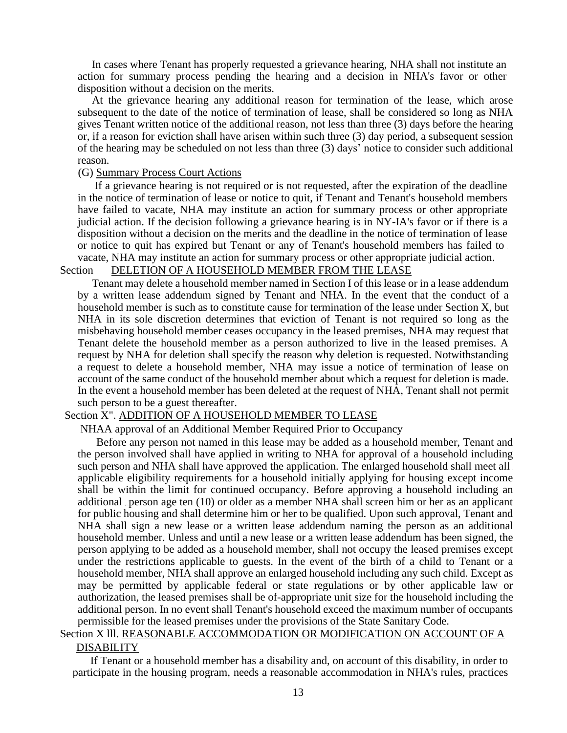In cases where Tenant has properly requested a grievance hearing, NHA shall not institute an action for summary process pending the hearing and a decision in NHA's favor or other disposition without a decision on the merits.

At the grievance hearing any additional reason for termination of the lease, which arose subsequent to the date of the notice of termination of lease, shall be considered so long as NHA gives Tenant written notice of the additional reason, not less than three (3) days before the hearing or, if a reason for eviction shall have arisen within such three (3) day period, a subsequent session of the hearing may be scheduled on not less than three (3) days' notice to consider such additional reason.

### (G) Summary Process Court Actions

If a grievance hearing is not required or is not requested, after the expiration of the deadline in the notice of termination of lease or notice to quit, if Tenant and Tenant's household members have failed to vacate, NHA may institute an action for summary process or other appropriate judicial action. If the decision following a grievance hearing is in NY-IA's favor or if there is a disposition without a decision on the merits and the deadline in the notice of termination of lease or notice to quit has expired but Tenant or any of Tenant's household members has failed to vacate, NHA may institute an action for summary process or other appropriate judicial action.

# Section DELETION OF A HOUSEHOLD MEMBER FROM THE LEASE

Tenant may delete a household member named in Section I of this lease or in a lease addendum by a written lease addendum signed by Tenant and NHA. In the event that the conduct of a household member is such as to constitute cause for termination of the lease under Section X, but NHA in its sole discretion determines that eviction of Tenant is not required so long as the misbehaving household member ceases occupancy in the leased premises, NHA may request that Tenant delete the household member as a person authorized to live in the leased premises. A request by NHA for deletion shall specify the reason why deletion is requested. Notwithstanding a request to delete a household member, NHA may issue a notice of termination of lease on account of the same conduct of the household member about which a request for deletion is made. In the event a household member has been deleted at the request of NHA, Tenant shall not permit such person to be a guest thereafter.

#### Section X". ADDITION OF A HOUSEHOLD MEMBER TO LEASE

NHAA approval of an Additional Member Required Prior to Occupancy

Before any person not named in this lease may be added as a household member, Tenant and the person involved shall have applied in writing to NHA for approval of a household including such person and NHA shall have approved the application. The enlarged household shall meet all applicable eligibility requirements for a household initially applying for housing except income shall be within the limit for continued occupancy. Before approving a household including an additional person age ten (10) or older as a member NHA shall screen him or her as an applicant for public housing and shall determine him or her to be qualified. Upon such approval, Tenant and NHA shall sign a new lease or a written lease addendum naming the person as an additional household member. Unless and until a new lease or a written lease addendum has been signed, the person applying to be added as a household member, shall not occupy the leased premises except under the restrictions applicable to guests. In the event of the birth of a child to Tenant or a household member, NHA shall approve an enlarged household including any such child. Except as may be permitted by applicable federal or state regulations or by other applicable law or authorization, the leased premises shall be of-appropriate unit size for the household including the additional person. In no event shall Tenant's household exceed the maximum number of occupants permissible for the leased premises under the provisions of the State Sanitary Code.

## Section X lll. REASONABLE ACCOMMODATION OR MODIFICATION ON ACCOUNT OF A DISABILITY

If Tenant or a household member has a disability and, on account of this disability, in order to participate in the housing program, needs a reasonable accommodation in NHA's rules, practices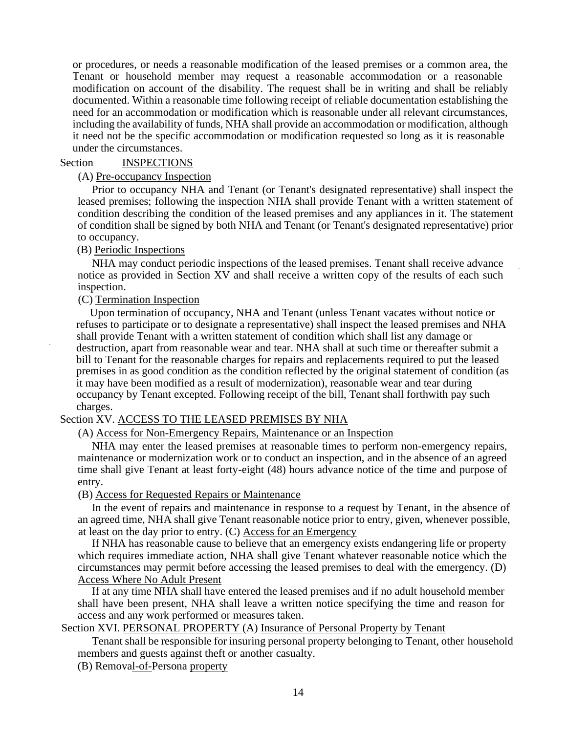or procedures, or needs a reasonable modification of the leased premises or a common area, the Tenant or household member may request a reasonable accommodation or a reasonable modification on account of the disability. The request shall be in writing and shall be reliably documented. Within a reasonable time following receipt of reliable documentation establishing the need for an accommodation or modification which is reasonable under all relevant circumstances, including the availability of funds, NHA shall provide an accommodation or modification, although it need not be the specific accommodation or modification requested so long as it is reasonable under the circumstances.

### Section INSPECTIONS

#### (A) Pre-occupancy Inspection

Prior to occupancy NHA and Tenant (or Tenant's designated representative) shall inspect the leased premises; following the inspection NHA shall provide Tenant with a written statement of condition describing the condition of the leased premises and any appliances in it. The statement of condition shall be signed by both NHA and Tenant (or Tenant's designated representative) prior to occupancy.

### (B) Periodic Inspections

NHA may conduct periodic inspections of the leased premises. Tenant shall receive advance notice as provided in Section XV and shall receive a written copy of the results of each such inspection.

#### (C) Termination Inspection

Upon termination of occupancy, NHA and Tenant (unless Tenant vacates without notice or refuses to participate or to designate a representative) shall inspect the leased premises and NHA shall provide Tenant with a written statement of condition which shall list any damage or destruction, apart from reasonable wear and tear. NHA shall at such time or thereafter submit a bill to Tenant for the reasonable charges for repairs and replacements required to put the leased premises in as good condition as the condition reflected by the original statement of condition (as it may have been modified as a result of modernization), reasonable wear and tear during occupancy by Tenant excepted. Following receipt of the bill, Tenant shall forthwith pay such charges.

## Section XV. ACCESS TO THE LEASED PREMISES BY NHA

(A) Access for Non-Emergency Repairs, Maintenance or an Inspection

NHA may enter the leased premises at reasonable times to perform non-emergency repairs, maintenance or modernization work or to conduct an inspection, and in the absence of an agreed time shall give Tenant at least forty-eight (48) hours advance notice of the time and purpose of entry.

(B) Access for Requested Repairs or Maintenance

In the event of repairs and maintenance in response to a request by Tenant, in the absence of an agreed time, NHA shall give Tenant reasonable notice prior to entry, given, whenever possible, at least on the day prior to entry. (C) Access for an Emergency

If NHA has reasonable cause to believe that an emergency exists endangering life or property which requires immediate action, NHA shall give Tenant whatever reasonable notice which the circumstances may permit before accessing the leased premises to deal with the emergency. (D) Access Where No Adult Present

If at any time NHA shall have entered the leased premises and if no adult household member shall have been present, NHA shall leave a written notice specifying the time and reason for access and any work performed or measures taken.

Section XVI. PERSONAL PROPERTY (A) Insurance of Personal Property by Tenant

Tenant shall be responsible for insuring personal property belonging to Tenant, other household members and guests against theft or another casualty.

(B) Removal-of-Persona property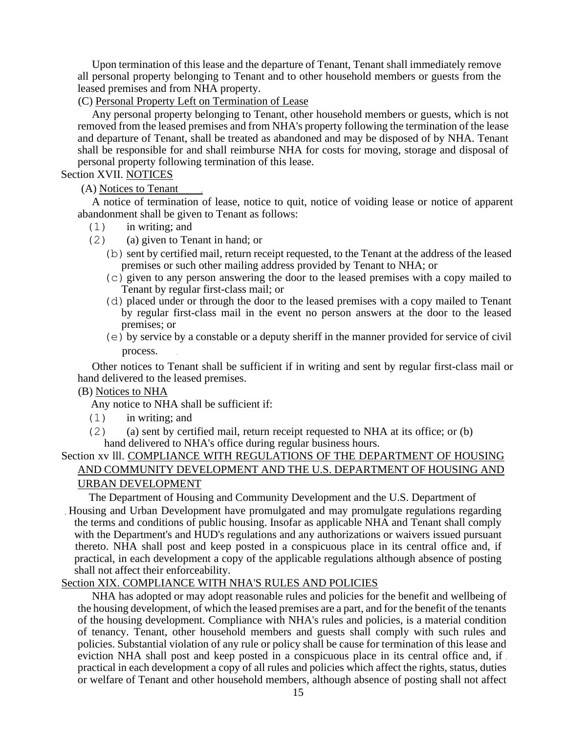Upon termination of this lease and the departure of Tenant, Tenant shall immediately remove all personal property belonging to Tenant and to other household members or guests from the leased premises and from NHA property.

(C) Personal Property Left on Termination of Lease

Any personal property belonging to Tenant, other household members or guests, which is not removed from the leased premises and from NHA's property following the termination of the lease and departure of Tenant, shall be treated as abandoned and may be disposed of by NHA. Tenant shall be responsible for and shall reimburse NHA for costs for moving, storage and disposal of personal property following termination of this lease.

## Section XVII. NOTICES

(A) Notices to Tenant

A notice of termination of lease, notice to quit, notice of voiding lease or notice of apparent abandonment shall be given to Tenant as follows:

- (1) in writing; and
- (2) (a) given to Tenant in hand; or
	- $(b)$  sent by certified mail, return receipt requested, to the Tenant at the address of the leased premises or such other mailing address provided by Tenant to NHA; or
	- $(c)$  given to any person answering the door to the leased premises with a copy mailed to Tenant by regular first-class mail; or
	- $(d)$  placed under or through the door to the leased premises with a copy mailed to Tenant by regular first-class mail in the event no person answers at the door to the leased premises; or
	- $(e)$  by service by a constable or a deputy sheriff in the manner provided for service of civil process.

Other notices to Tenant shall be sufficient if in writing and sent by regular first-class mail or hand delivered to the leased premises.

## (B) Notices to NHA

Any notice to NHA shall be sufficient if:

- (1) in writing; and
- (2) (a) sent by certified mail, return receipt requested to NHA at its office; or (b) hand delivered to NHA's office during regular business hours.

# Section xv lll. COMPLIANCE WITH REGULATIONS OF THE DEPARTMENT OF HOUSING AND COMMUNITY DEVELOPMENT AND THE U.S. DEPARTMENT OF HOUSING AND

# URBAN DEVELOPMENT

The Department of Housing and Community Development and the U.S. Department of

Housing and Urban Development have promulgated and may promulgate regulations regarding the terms and conditions of public housing. Insofar as applicable NHA and Tenant shall comply with the Department's and HUD's regulations and any authorizations or waivers issued pursuant thereto. NHA shall post and keep posted in a conspicuous place in its central office and, if practical, in each development a copy of the applicable regulations although absence of posting shall not affect their enforceability.

# Section XIX. COMPLIANCE WITH NHA'S RULES AND POLICIES

NHA has adopted or may adopt reasonable rules and policies for the benefit and wellbeing of the housing development, of which the leased premises are a part, and for the benefit of the tenants of the housing development. Compliance with NHA's rules and policies, is a material condition of tenancy. Tenant, other household members and guests shall comply with such rules and policies. Substantial violation of any rule or policy shall be cause for termination of this lease and eviction NHA shall post and keep posted in a conspicuous place in its central office and, if practical in each development a copy of all rules and policies which affect the rights, status, duties or welfare of Tenant and other household members, although absence of posting shall not affect